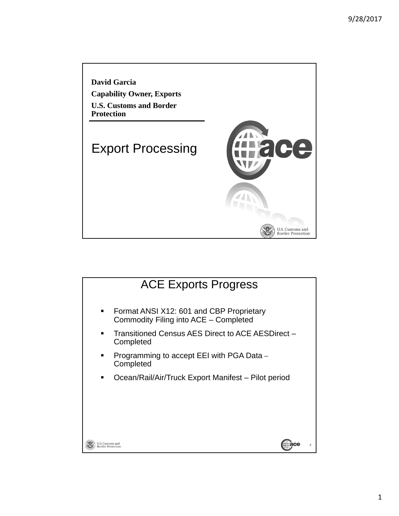

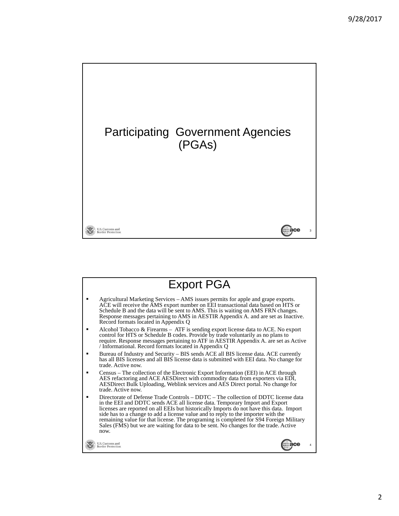

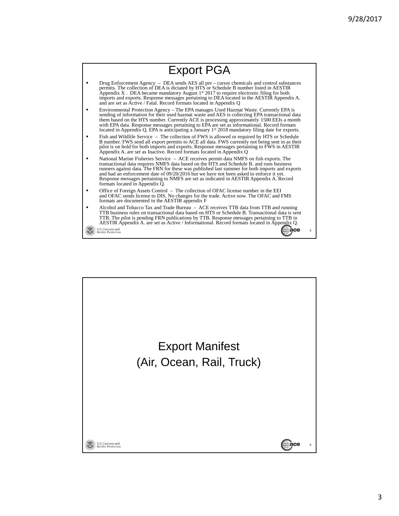

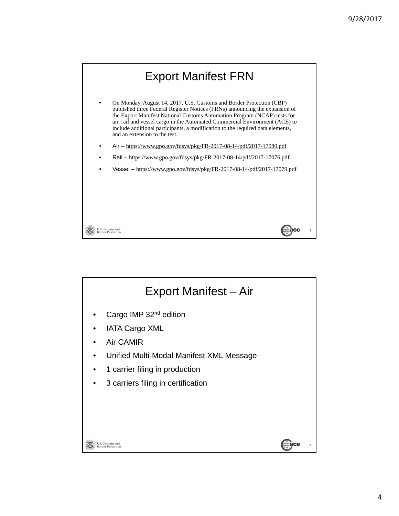

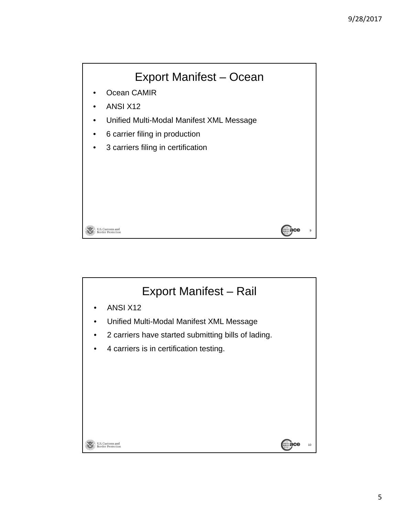